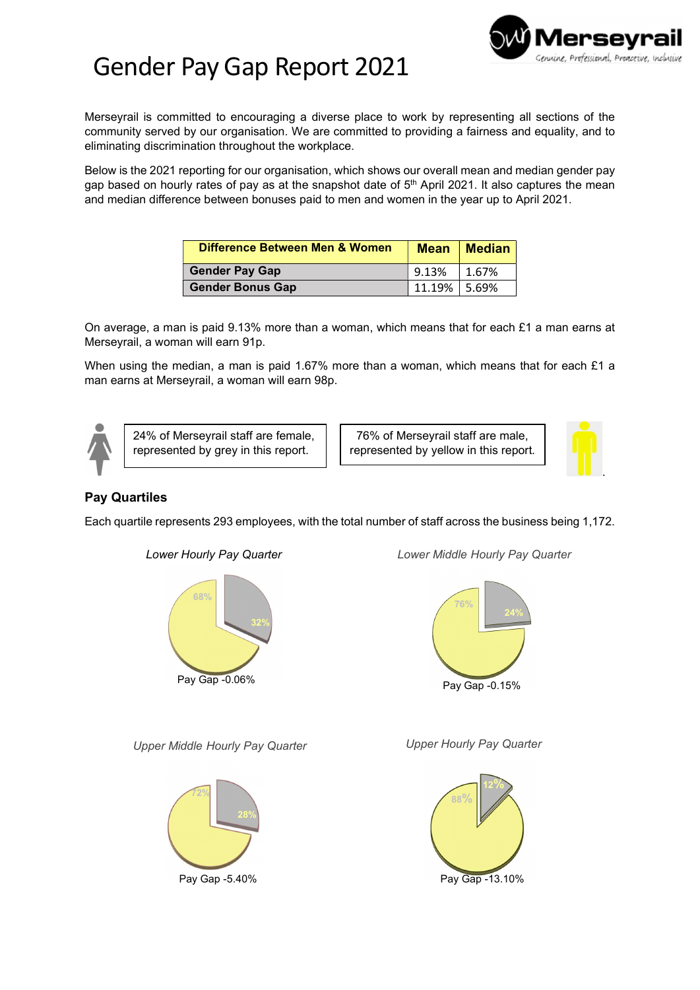

## Gender Pay Gap Report 2021

Merseyrail is committed to encouraging a diverse place to work by representing all sections of the community served by our organisation. We are committed to providing a fairness and equality, and to eliminating discrimination throughout the workplace.

Below is the 2021 reporting for our organisation, which shows our overall mean and median gender pay gap based on hourly rates of pay as at the snapshot date of  $5<sup>th</sup>$  April 2021. It also captures the mean and median difference between bonuses paid to men and women in the year up to April 2021.

| <b>Difference Between Men &amp; Women</b> | <b>Mean</b>      | $\blacksquare$ Median |
|-------------------------------------------|------------------|-----------------------|
| <b>Gender Pay Gap</b>                     | $^{\circ}$ 9.13% | 1.67%                 |
| <b>Gender Bonus Gap</b>                   | 11.19% 5.69%     |                       |

On average, a man is paid 9.13% more than a woman, which means that for each £1 a man earns at Merseyrail, a woman will earn 91p.

When using the median, a man is paid 1.67% more than a woman, which means that for each £1 a man earns at Merseyrail, a woman will earn 98p.



24% of Merseyrail staff are female, represented by grey in this report.

76% of Merseyrail staff are male, represented by yellow in this report.



## Pay Quartiles

Each quartile represents 293 employees, with the total number of staff across the business being 1,172.



Lower Hourly Pay Quarter

Lower Middle Hourly Pay Quarter



Upper Middle Hourly Pay Quarter



Upper Hourly Pay Quarter